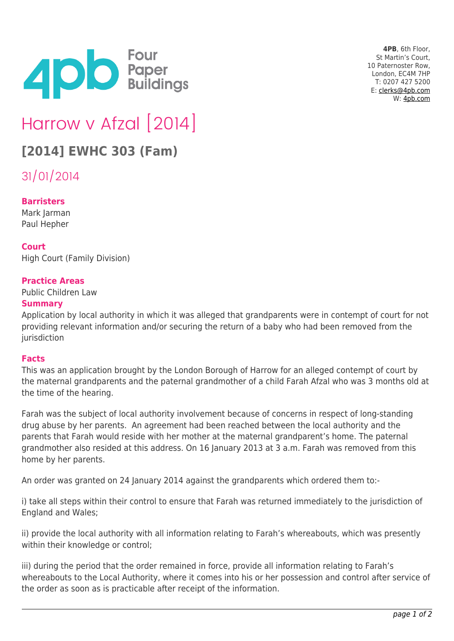

**4PB**, 6th Floor, St Martin's Court, 10 Paternoster Row, London, EC4M 7HP T: 0207 427 5200 E: [clerks@4pb.com](mailto:clerks@4pb.com) W: [4pb.com](http://4pb.com)

# Harrow v Afzal [2014]

## **[2014] EWHC 303 (Fam)**

31/01/2014

#### **Barristers**

Mark Jarman Paul Hepher

#### **Court**

High Court (Family Division)

#### **Practice Areas**

Public Children Law

#### **Summary**

Application by local authority in which it was alleged that grandparents were in contempt of court for not providing relevant information and/or securing the return of a baby who had been removed from the iurisdiction

#### **Facts**

This was an application brought by the London Borough of Harrow for an alleged contempt of court by the maternal grandparents and the paternal grandmother of a child Farah Afzal who was 3 months old at the time of the hearing.

Farah was the subject of local authority involvement because of concerns in respect of long-standing drug abuse by her parents. An agreement had been reached between the local authority and the parents that Farah would reside with her mother at the maternal grandparent's home. The paternal grandmother also resided at this address. On 16 January 2013 at 3 a.m. Farah was removed from this home by her parents.

An order was granted on 24 January 2014 against the grandparents which ordered them to:-

i) take all steps within their control to ensure that Farah was returned immediately to the jurisdiction of England and Wales;

ii) provide the local authority with all information relating to Farah's whereabouts, which was presently within their knowledge or control;

iii) during the period that the order remained in force, provide all information relating to Farah's whereabouts to the Local Authority, where it comes into his or her possession and control after service of the order as soon as is practicable after receipt of the information.